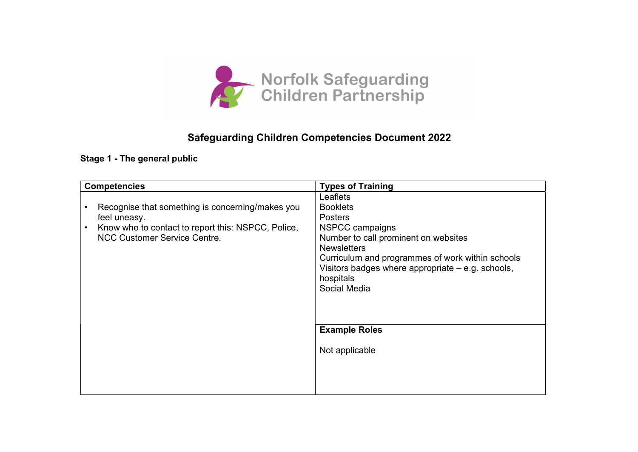

## Safeguarding Children Competencies Document 2022

#### Stage 1 - The general public

| <b>Competencies</b> |                                                                                                                                                               | <b>Types of Training</b>                                                                                                                                                                                                                                                                     |
|---------------------|---------------------------------------------------------------------------------------------------------------------------------------------------------------|----------------------------------------------------------------------------------------------------------------------------------------------------------------------------------------------------------------------------------------------------------------------------------------------|
|                     | Recognise that something is concerning/makes you<br>feel uneasy.<br>Know who to contact to report this: NSPCC, Police,<br><b>NCC Customer Service Centre.</b> | Leaflets<br><b>Booklets</b><br><b>Posters</b><br>NSPCC campaigns<br>Number to call prominent on websites<br><b>Newsletters</b><br>Curriculum and programmes of work within schools<br>Visitors badges where appropriate – e.g. schools,<br>hospitals<br>Social Media<br><b>Example Roles</b> |
|                     |                                                                                                                                                               | Not applicable                                                                                                                                                                                                                                                                               |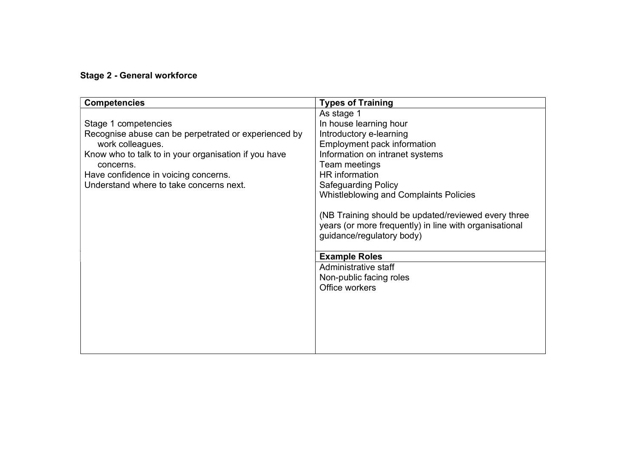#### Stage 2 - General workforce

| <b>Competencies</b>                                                      | <b>Types of Training</b>                                                            |
|--------------------------------------------------------------------------|-------------------------------------------------------------------------------------|
|                                                                          | As stage 1                                                                          |
| Stage 1 competencies                                                     | In house learning hour                                                              |
| Recognise abuse can be perpetrated or experienced by<br>work colleagues. | Introductory e-learning<br>Employment pack information                              |
| Know who to talk to in your organisation if you have<br>concerns.        | Information on intranet systems<br>Team meetings                                    |
| Have confidence in voicing concerns.                                     | HR information                                                                      |
| Understand where to take concerns next.                                  | <b>Safeguarding Policy</b>                                                          |
|                                                                          | <b>Whistleblowing and Complaints Policies</b>                                       |
|                                                                          | (NB Training should be updated/reviewed every three                                 |
|                                                                          | years (or more frequently) in line with organisational<br>guidance/regulatory body) |
|                                                                          |                                                                                     |
|                                                                          | <b>Example Roles</b>                                                                |
|                                                                          | Administrative staff                                                                |
|                                                                          | Non-public facing roles                                                             |
|                                                                          | Office workers                                                                      |
|                                                                          |                                                                                     |
|                                                                          |                                                                                     |
|                                                                          |                                                                                     |
|                                                                          |                                                                                     |
|                                                                          |                                                                                     |
|                                                                          |                                                                                     |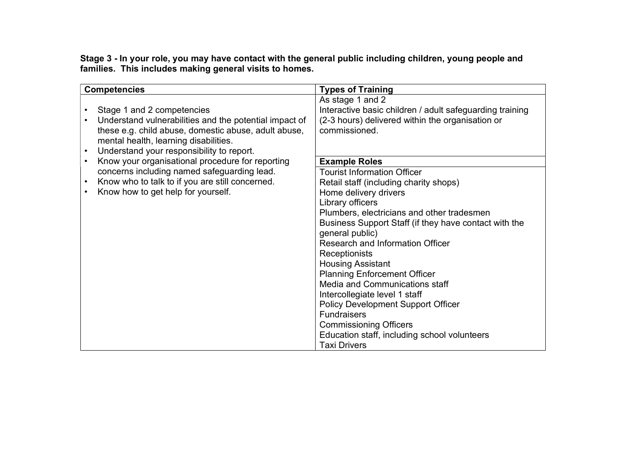Stage 3 - In your role, you may have contact with the general public including children, young people and families. This includes making general visits to homes.

| <b>Competencies</b>                                                                                                                                                                                                                             | <b>Types of Training</b>                                                                                                                                                                                                                                                                                                                                                                                                                                                                                                                                                                                                  |
|-------------------------------------------------------------------------------------------------------------------------------------------------------------------------------------------------------------------------------------------------|---------------------------------------------------------------------------------------------------------------------------------------------------------------------------------------------------------------------------------------------------------------------------------------------------------------------------------------------------------------------------------------------------------------------------------------------------------------------------------------------------------------------------------------------------------------------------------------------------------------------------|
| Stage 1 and 2 competencies<br>Understand vulnerabilities and the potential impact of<br>these e.g. child abuse, domestic abuse, adult abuse,<br>mental health, learning disabilities.<br>Understand your responsibility to report.<br>$\bullet$ | As stage 1 and 2<br>Interactive basic children / adult safeguarding training<br>(2-3 hours) delivered within the organisation or<br>commissioned.                                                                                                                                                                                                                                                                                                                                                                                                                                                                         |
| Know your organisational procedure for reporting<br>$\bullet$                                                                                                                                                                                   | <b>Example Roles</b>                                                                                                                                                                                                                                                                                                                                                                                                                                                                                                                                                                                                      |
| concerns including named safeguarding lead.<br>Know who to talk to if you are still concerned.<br>$\bullet$<br>Know how to get help for yourself.<br>$\bullet$                                                                                  | <b>Tourist Information Officer</b><br>Retail staff (including charity shops)<br>Home delivery drivers<br>Library officers<br>Plumbers, electricians and other tradesmen<br>Business Support Staff (if they have contact with the<br>general public)<br>Research and Information Officer<br>Receptionists<br><b>Housing Assistant</b><br><b>Planning Enforcement Officer</b><br>Media and Communications staff<br>Intercollegiate level 1 staff<br><b>Policy Development Support Officer</b><br><b>Fundraisers</b><br><b>Commissioning Officers</b><br>Education staff, including school volunteers<br><b>Taxi Drivers</b> |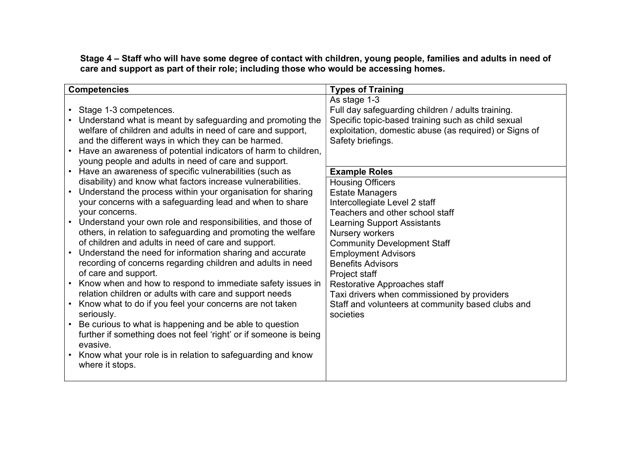Stage 4 – Staff who will have some degree of contact with children, young people, families and adults in need of care and support as part of their role; including those who would be accessing homes.

| <b>Competencies</b>                                                            | <b>Types of Training</b>                               |
|--------------------------------------------------------------------------------|--------------------------------------------------------|
|                                                                                | As stage 1-3                                           |
| • Stage 1-3 competences.                                                       | Full day safeguarding children / adults training.      |
| Understand what is meant by safeguarding and promoting the                     | Specific topic-based training such as child sexual     |
| welfare of children and adults in need of care and support,                    | exploitation, domestic abuse (as required) or Signs of |
| and the different ways in which they can be harmed.                            | Safety briefings.                                      |
| Have an awareness of potential indicators of harm to children,                 |                                                        |
| young people and adults in need of care and support.                           |                                                        |
| • Have an awareness of specific vulnerabilities (such as                       | <b>Example Roles</b>                                   |
| disability) and know what factors increase vulnerabilities.                    | <b>Housing Officers</b>                                |
| Understand the process within your organisation for sharing<br>$\bullet$       | <b>Estate Managers</b>                                 |
| your concerns with a safeguarding lead and when to share                       | Intercollegiate Level 2 staff                          |
| your concerns.                                                                 | Teachers and other school staff                        |
| Understand your own role and responsibilities, and those of                    | <b>Learning Support Assistants</b>                     |
| others, in relation to safeguarding and promoting the welfare                  | Nursery workers                                        |
| of children and adults in need of care and support.                            | <b>Community Development Staff</b>                     |
| Understand the need for information sharing and accurate<br>$\bullet$          | <b>Employment Advisors</b>                             |
| recording of concerns regarding children and adults in need                    | <b>Benefits Advisors</b>                               |
| of care and support.                                                           | Project staff                                          |
| Know when and how to respond to immediate safety issues in                     | Restorative Approaches staff                           |
| relation children or adults with care and support needs                        | Taxi drivers when commissioned by providers            |
| Know what to do if you feel your concerns are not taken                        | Staff and volunteers at community based clubs and      |
| seriously.                                                                     | societies                                              |
| Be curious to what is happening and be able to question                        |                                                        |
| further if something does not feel 'right' or if someone is being<br>evasive.  |                                                        |
|                                                                                |                                                        |
| Know what your role is in relation to safeguarding and know<br>where it stops. |                                                        |
|                                                                                |                                                        |
|                                                                                |                                                        |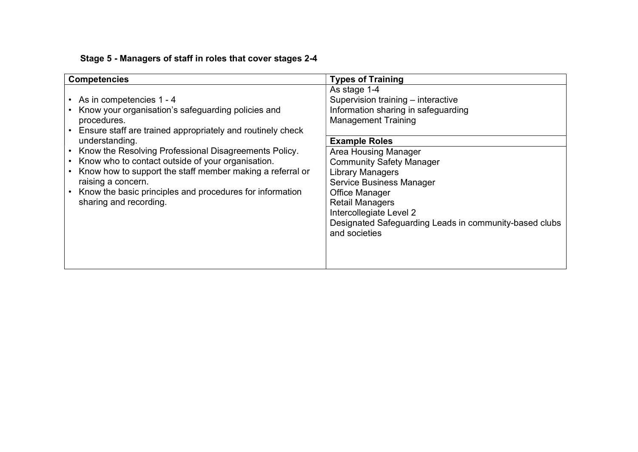# Stage 5 - Managers of staff in roles that cover stages 2-4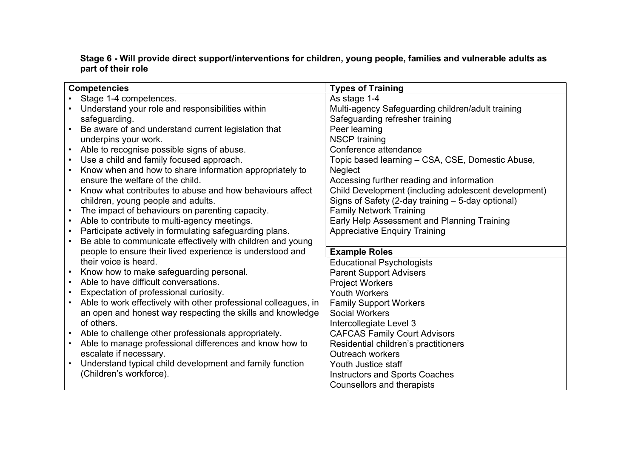#### Stage 6 - Will provide direct support/interventions for children, young people, families and vulnerable adults as part of their role

| <b>Competencies</b>                                             | <b>Types of Training</b>                             |
|-----------------------------------------------------------------|------------------------------------------------------|
| Stage 1-4 competences.                                          | As stage 1-4                                         |
| Understand your role and responsibilities within                | Multi-agency Safeguarding children/adult training    |
| safeguarding.                                                   | Safeguarding refresher training                      |
| Be aware of and understand current legislation that             | Peer learning                                        |
| underpins your work.                                            | <b>NSCP</b> training                                 |
| Able to recognise possible signs of abuse.                      | Conference attendance                                |
| Use a child and family focused approach.                        | Topic based learning - CSA, CSE, Domestic Abuse,     |
| Know when and how to share information appropriately to         | <b>Neglect</b>                                       |
| ensure the welfare of the child.                                | Accessing further reading and information            |
| Know what contributes to abuse and how behaviours affect        | Child Development (including adolescent development) |
| children, young people and adults.                              | Signs of Safety (2-day training - 5-day optional)    |
| The impact of behaviours on parenting capacity.<br>$\bullet$    | <b>Family Network Training</b>                       |
| Able to contribute to multi-agency meetings.                    | Early Help Assessment and Planning Training          |
| Participate actively in formulating safeguarding plans.         | <b>Appreciative Enquiry Training</b>                 |
| Be able to communicate effectively with children and young      |                                                      |
| people to ensure their lived experience is understood and       | <b>Example Roles</b>                                 |
| their voice is heard.                                           | <b>Educational Psychologists</b>                     |
| Know how to make safeguarding personal.                         | <b>Parent Support Advisers</b>                       |
| Able to have difficult conversations.                           | <b>Project Workers</b>                               |
| Expectation of professional curiosity.                          | <b>Youth Workers</b>                                 |
| Able to work effectively with other professional colleagues, in | <b>Family Support Workers</b>                        |
| an open and honest way respecting the skills and knowledge      | <b>Social Workers</b>                                |
| of others.                                                      | Intercollegiate Level 3                              |
| Able to challenge other professionals appropriately.            | <b>CAFCAS Family Court Advisors</b>                  |
| Able to manage professional differences and know how to         | Residential children's practitioners                 |
| escalate if necessary.                                          | <b>Outreach workers</b>                              |
| Understand typical child development and family function        | Youth Justice staff                                  |
| (Children's workforce).                                         | <b>Instructors and Sports Coaches</b>                |
|                                                                 | <b>Counsellors and therapists</b>                    |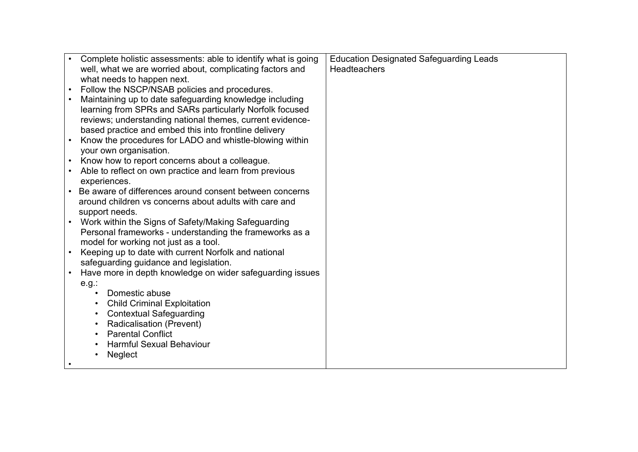|           | Complete holistic assessments: able to identify what is going | <b>Education Designated Safeguarding Leads</b> |
|-----------|---------------------------------------------------------------|------------------------------------------------|
|           | well, what we are worried about, complicating factors and     | <b>Headteachers</b>                            |
|           | what needs to happen next.                                    |                                                |
|           | Follow the NSCP/NSAB policies and procedures.                 |                                                |
|           | Maintaining up to date safeguarding knowledge including       |                                                |
|           | learning from SPRs and SARs particularly Norfolk focused      |                                                |
|           | reviews; understanding national themes, current evidence-     |                                                |
|           | based practice and embed this into frontline delivery         |                                                |
|           | Know the procedures for LADO and whistle-blowing within       |                                                |
|           | your own organisation.                                        |                                                |
|           | Know how to report concerns about a colleague.                |                                                |
|           | Able to reflect on own practice and learn from previous       |                                                |
|           | experiences.                                                  |                                                |
|           | Be aware of differences around consent between concerns       |                                                |
|           | around children vs concerns about adults with care and        |                                                |
|           | support needs.                                                |                                                |
|           | Work within the Signs of Safety/Making Safeguarding           |                                                |
|           | Personal frameworks - understanding the frameworks as a       |                                                |
|           | model for working not just as a tool.                         |                                                |
| $\bullet$ | Keeping up to date with current Norfolk and national          |                                                |
|           | safeguarding guidance and legislation.                        |                                                |
|           | Have more in depth knowledge on wider safeguarding issues     |                                                |
|           | e.g.:                                                         |                                                |
|           | Domestic abuse                                                |                                                |
|           | <b>Child Criminal Exploitation</b>                            |                                                |
|           | <b>Contextual Safeguarding</b><br>$\bullet$                   |                                                |
|           | Radicalisation (Prevent)                                      |                                                |
|           | <b>Parental Conflict</b>                                      |                                                |
|           | <b>Harmful Sexual Behaviour</b>                               |                                                |
|           | Neglect                                                       |                                                |
|           |                                                               |                                                |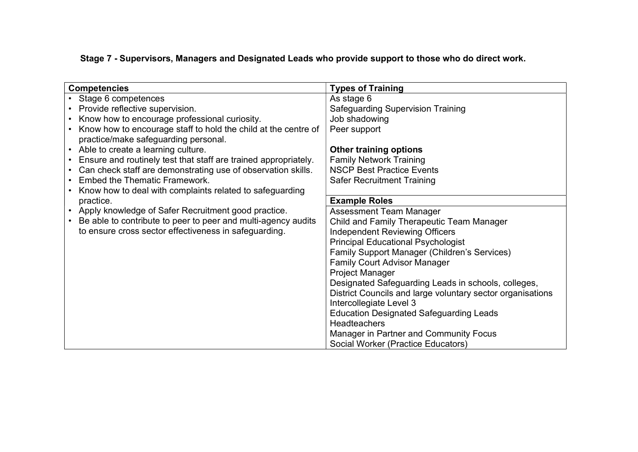Stage 7 - Supervisors, Managers and Designated Leads who provide support to those who do direct work.

| <b>Competencies</b>                                             | <b>Types of Training</b>                                   |
|-----------------------------------------------------------------|------------------------------------------------------------|
| Stage 6 competences                                             | As stage 6                                                 |
| Provide reflective supervision.                                 | <b>Safeguarding Supervision Training</b>                   |
| Know how to encourage professional curiosity.                   | Job shadowing                                              |
| Know how to encourage staff to hold the child at the centre of  | Peer support                                               |
| practice/make safeguarding personal.                            |                                                            |
| Able to create a learning culture.<br>$\bullet$                 | <b>Other training options</b>                              |
| Ensure and routinely test that staff are trained appropriately. | <b>Family Network Training</b>                             |
| Can check staff are demonstrating use of observation skills.    | <b>NSCP Best Practice Events</b>                           |
| <b>Embed the Thematic Framework.</b>                            | <b>Safer Recruitment Training</b>                          |
| Know how to deal with complaints related to safeguarding        |                                                            |
| practice.                                                       | <b>Example Roles</b>                                       |
| Apply knowledge of Safer Recruitment good practice.             | Assessment Team Manager                                    |
| Be able to contribute to peer to peer and multi-agency audits   | Child and Family Therapeutic Team Manager                  |
| to ensure cross sector effectiveness in safeguarding.           | <b>Independent Reviewing Officers</b>                      |
|                                                                 | <b>Principal Educational Psychologist</b>                  |
|                                                                 | Family Support Manager (Children's Services)               |
|                                                                 | <b>Family Court Advisor Manager</b>                        |
|                                                                 | Project Manager                                            |
|                                                                 | Designated Safeguarding Leads in schools, colleges,        |
|                                                                 | District Councils and large voluntary sector organisations |
|                                                                 | Intercollegiate Level 3                                    |
|                                                                 | <b>Education Designated Safeguarding Leads</b>             |
|                                                                 | <b>Headteachers</b>                                        |
|                                                                 | <b>Manager in Partner and Community Focus</b>              |
|                                                                 | Social Worker (Practice Educators)                         |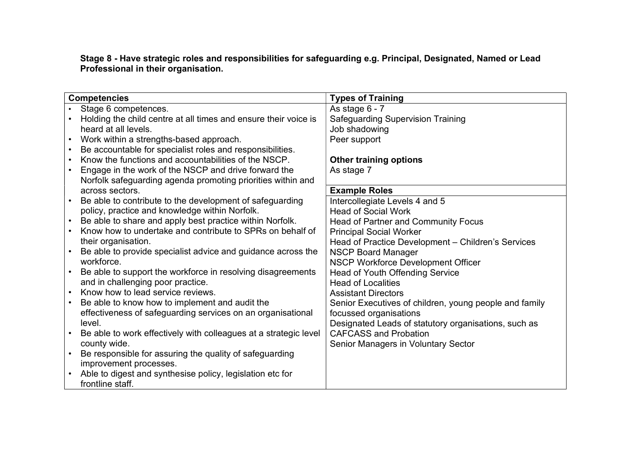Stage 8 - Have strategic roles and responsibilities for safeguarding e.g. Principal, Designated, Named or Lead Professional in their organisation.

| <b>Competencies</b>                                              | <b>Types of Training</b>                               |
|------------------------------------------------------------------|--------------------------------------------------------|
| Stage 6 competences.                                             | As stage 6 - 7                                         |
| Holding the child centre at all times and ensure their voice is  | <b>Safeguarding Supervision Training</b>               |
| heard at all levels.                                             | Job shadowing                                          |
| Work within a strengths-based approach.                          | Peer support                                           |
| Be accountable for specialist roles and responsibilities.        |                                                        |
| Know the functions and accountabilities of the NSCP.             | <b>Other training options</b>                          |
| Engage in the work of the NSCP and drive forward the             | As stage 7                                             |
| Norfolk safeguarding agenda promoting priorities within and      |                                                        |
| across sectors.                                                  | <b>Example Roles</b>                                   |
| Be able to contribute to the development of safeguarding         | Intercollegiate Levels 4 and 5                         |
| policy, practice and knowledge within Norfolk.                   | <b>Head of Social Work</b>                             |
| Be able to share and apply best practice within Norfolk.         | Head of Partner and Community Focus                    |
| Know how to undertake and contribute to SPRs on behalf of        | <b>Principal Social Worker</b>                         |
| their organisation.                                              | Head of Practice Development - Children's Services     |
| Be able to provide specialist advice and guidance across the     | <b>NSCP Board Manager</b>                              |
| workforce.                                                       | NSCP Workforce Development Officer                     |
| Be able to support the workforce in resolving disagreements      | <b>Head of Youth Offending Service</b>                 |
| and in challenging poor practice.                                | <b>Head of Localities</b>                              |
| Know how to lead service reviews.                                | <b>Assistant Directors</b>                             |
| Be able to know how to implement and audit the                   | Senior Executives of children, young people and family |
| effectiveness of safeguarding services on an organisational      | focussed organisations                                 |
| level.                                                           | Designated Leads of statutory organisations, such as   |
| Be able to work effectively with colleagues at a strategic level | <b>CAFCASS and Probation</b>                           |
| county wide.                                                     | Senior Managers in Voluntary Sector                    |
| Be responsible for assuring the quality of safeguarding          |                                                        |
| improvement processes.                                           |                                                        |
| Able to digest and synthesise policy, legislation etc for        |                                                        |
| frontline staff.                                                 |                                                        |